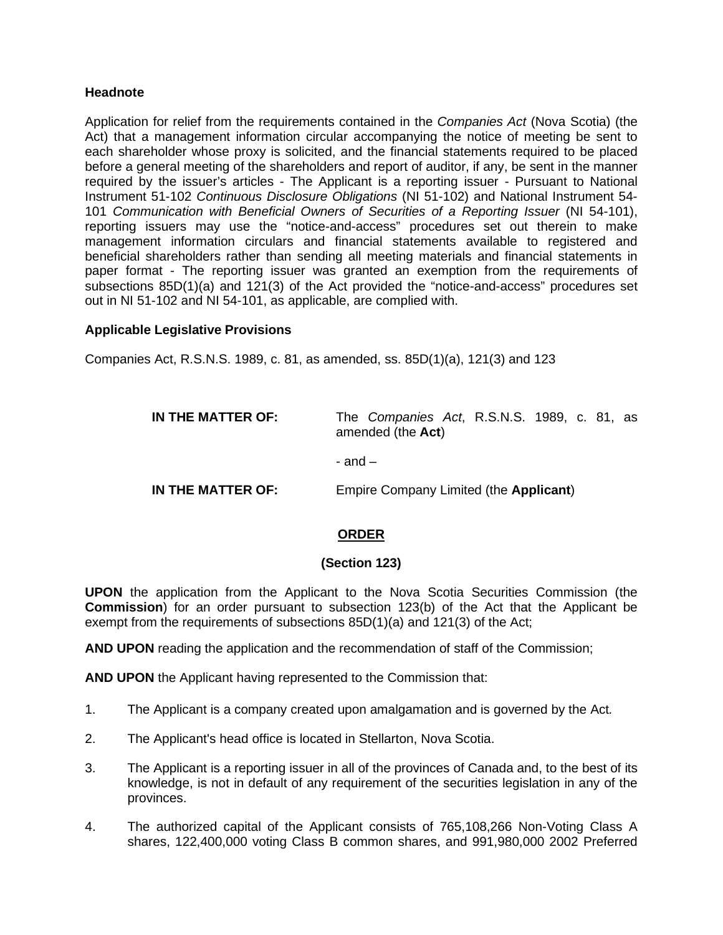## **Headnote**

Application for relief from the requirements contained in the *Companies Act* (Nova Scotia) (the Act) that a management information circular accompanying the notice of meeting be sent to each shareholder whose proxy is solicited, and the financial statements required to be placed before a general meeting of the shareholders and report of auditor, if any, be sent in the manner required by the issuer's articles - The Applicant is a reporting issuer - Pursuant to National Instrument 51-102 *Continuous Disclosure Obligations* (NI 51-102) and National Instrument 54- 101 *Communication with Beneficial Owners of Securities of a Reporting Issuer* (NI 54-101), reporting issuers may use the "notice-and-access" procedures set out therein to make management information circulars and financial statements available to registered and beneficial shareholders rather than sending all meeting materials and financial statements in paper format - The reporting issuer was granted an exemption from the requirements of subsections 85D(1)(a) and 121(3) of the Act provided the "notice-and-access" procedures set out in NI 51-102 and NI 54-101, as applicable, are complied with.

## **Applicable Legislative Provisions**

Companies Act, R.S.N.S. 1989, c. 81, as amended, ss. 85D(1)(a), 121(3) and 123

| IN THE MATTER OF: | The Companies Act, R.S.N.S. 1989, c. 81, as<br>amended (the Act) |
|-------------------|------------------------------------------------------------------|
|                   | - and $-$                                                        |
| IN THE MATTER OF: | Empire Company Limited (the Applicant)                           |

# **ORDER**

# **(Section 123)**

**UPON** the application from the Applicant to the Nova Scotia Securities Commission (the **Commission**) for an order pursuant to subsection 123(b) of the Act that the Applicant be exempt from the requirements of subsections 85D(1)(a) and 121(3) of the Act;

**AND UPON** reading the application and the recommendation of staff of the Commission;

**AND UPON** the Applicant having represented to the Commission that:

- 1. The Applicant is a company created upon amalgamation and is governed by the Act*.*
- 2. The Applicant's head office is located in Stellarton, Nova Scotia.
- 3. The Applicant is a reporting issuer in all of the provinces of Canada and, to the best of its knowledge, is not in default of any requirement of the securities legislation in any of the provinces.
- 4. The authorized capital of the Applicant consists of 765,108,266 Non-Voting Class A shares, 122,400,000 voting Class B common shares, and 991,980,000 2002 Preferred